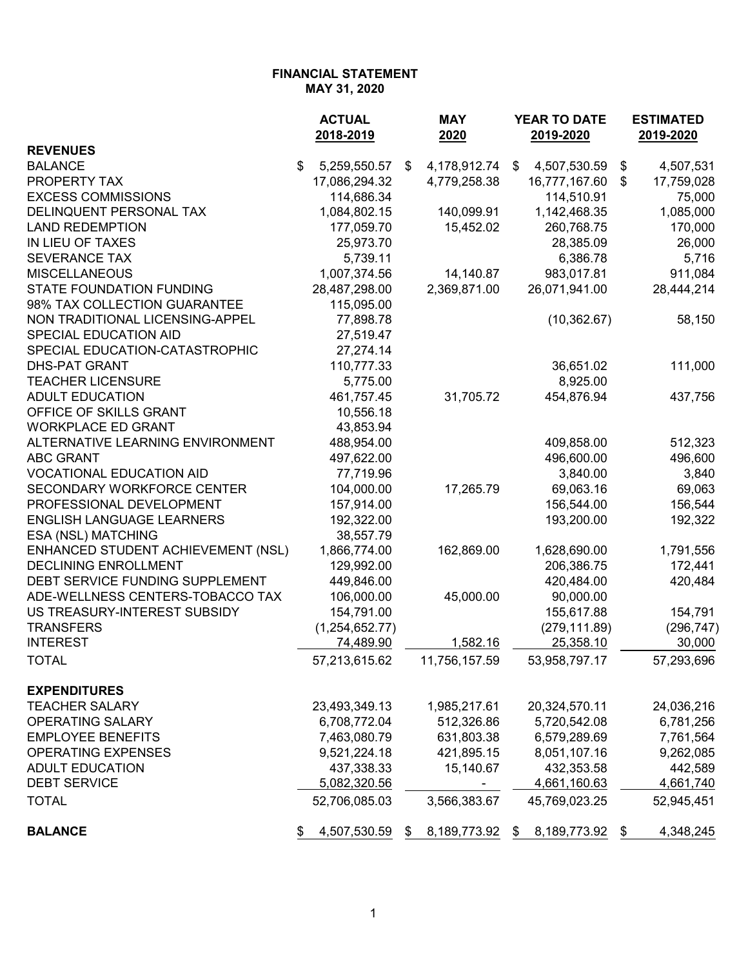| MAY 31, 2020 |  |  |
|--------------|--|--|
|--------------|--|--|

|                                    | <b>ACTUAL</b>      |    | <b>MAY</b>     | YEAR TO DATE       |    | <b>ESTIMATED</b> |  |  |
|------------------------------------|--------------------|----|----------------|--------------------|----|------------------|--|--|
|                                    | 2018-2019          |    | 2020           | 2019-2020          |    | 2019-2020        |  |  |
| <b>REVENUES</b>                    |                    |    |                |                    |    |                  |  |  |
| <b>BALANCE</b>                     | \$<br>5,259,550.57 | \$ | 4,178,912.74   | \$<br>4,507,530.59 | \$ | 4,507,531        |  |  |
| PROPERTY TAX                       | 17,086,294.32      |    | 4,779,258.38   | 16,777,167.60      | \$ | 17,759,028       |  |  |
| <b>EXCESS COMMISSIONS</b>          | 114,686.34         |    |                | 114,510.91         |    | 75,000           |  |  |
| DELINQUENT PERSONAL TAX            | 1,084,802.15       |    | 140,099.91     | 1,142,468.35       |    | 1,085,000        |  |  |
| <b>LAND REDEMPTION</b>             | 177,059.70         |    | 15,452.02      | 260,768.75         |    | 170,000          |  |  |
| IN LIEU OF TAXES                   | 25,973.70          |    |                | 28,385.09          |    | 26,000           |  |  |
| <b>SEVERANCE TAX</b>               | 5,739.11           |    |                | 6,386.78           |    | 5,716            |  |  |
| <b>MISCELLANEOUS</b>               | 1,007,374.56       |    | 14,140.87      | 983,017.81         |    | 911,084          |  |  |
| <b>STATE FOUNDATION FUNDING</b>    | 28,487,298.00      |    | 2,369,871.00   | 26,071,941.00      |    | 28,444,214       |  |  |
| 98% TAX COLLECTION GUARANTEE       | 115,095.00         |    |                |                    |    |                  |  |  |
| NON TRADITIONAL LICENSING-APPEL    | 77,898.78          |    |                | (10, 362.67)       |    | 58,150           |  |  |
| SPECIAL EDUCATION AID              | 27,519.47          |    |                |                    |    |                  |  |  |
| SPECIAL EDUCATION-CATASTROPHIC     | 27,274.14          |    |                |                    |    |                  |  |  |
| <b>DHS-PAT GRANT</b>               | 110,777.33         |    |                | 36,651.02          |    | 111,000          |  |  |
| <b>TEACHER LICENSURE</b>           | 5,775.00           |    |                | 8,925.00           |    |                  |  |  |
| <b>ADULT EDUCATION</b>             | 461,757.45         |    | 31,705.72      | 454,876.94         |    | 437,756          |  |  |
| OFFICE OF SKILLS GRANT             | 10,556.18          |    |                |                    |    |                  |  |  |
| <b>WORKPLACE ED GRANT</b>          | 43,853.94          |    |                |                    |    |                  |  |  |
| ALTERNATIVE LEARNING ENVIRONMENT   | 488,954.00         |    |                | 409,858.00         |    | 512,323          |  |  |
| <b>ABC GRANT</b>                   | 497,622.00         |    |                | 496,600.00         |    | 496,600          |  |  |
| <b>VOCATIONAL EDUCATION AID</b>    | 77,719.96          |    |                | 3,840.00           |    | 3,840            |  |  |
| <b>SECONDARY WORKFORCE CENTER</b>  | 104,000.00         |    | 17,265.79      | 69,063.16          |    | 69,063           |  |  |
| PROFESSIONAL DEVELOPMENT           | 157,914.00         |    |                | 156,544.00         |    | 156,544          |  |  |
| <b>ENGLISH LANGUAGE LEARNERS</b>   | 192,322.00         |    |                | 193,200.00         |    | 192,322          |  |  |
| ESA (NSL) MATCHING                 | 38,557.79          |    |                |                    |    |                  |  |  |
| ENHANCED STUDENT ACHIEVEMENT (NSL) | 1,866,774.00       |    | 162,869.00     | 1,628,690.00       |    | 1,791,556        |  |  |
| <b>DECLINING ENROLLMENT</b>        | 129,992.00         |    |                | 206,386.75         |    | 172,441          |  |  |
| DEBT SERVICE FUNDING SUPPLEMENT    | 449,846.00         |    |                | 420,484.00         |    | 420,484          |  |  |
| ADE-WELLNESS CENTERS-TOBACCO TAX   | 106,000.00         |    | 45,000.00      | 90,000.00          |    |                  |  |  |
| US TREASURY-INTEREST SUBSIDY       | 154,791.00         |    |                | 155,617.88         |    | 154,791          |  |  |
| <b>TRANSFERS</b>                   | (1,254,652.77)     |    |                | (279, 111.89)      |    | (296, 747)       |  |  |
| <b>INTEREST</b>                    | 74,489.90          |    | 1,582.16       | 25,358.10          |    | 30,000           |  |  |
| <b>TOTAL</b>                       | 57,213,615.62      |    | 11,756,157.59  | 53,958,797.17      |    | 57,293,696       |  |  |
|                                    |                    |    |                |                    |    |                  |  |  |
| <b>EXPENDITURES</b>                |                    |    |                |                    |    |                  |  |  |
| <b>TEACHER SALARY</b>              | 23,493,349.13      |    | 1,985,217.61   | 20,324,570.11      |    | 24,036,216       |  |  |
| OPERATING SALARY                   | 6,708,772.04       |    | 512,326.86     | 5,720,542.08       |    | 6,781,256        |  |  |
| <b>EMPLOYEE BENEFITS</b>           | 7,463,080.79       |    | 631,803.38     | 6,579,289.69       |    | 7,761,564        |  |  |
| <b>OPERATING EXPENSES</b>          |                    |    |                |                    |    |                  |  |  |
|                                    | 9,521,224.18       |    | 421,895.15     | 8,051,107.16       |    | 9,262,085        |  |  |
| <b>ADULT EDUCATION</b>             | 437,338.33         |    | 15,140.67      | 432,353.58         |    | 442,589          |  |  |
| <b>DEBT SERVICE</b>                | 5,082,320.56       |    | ۰              | 4,661,160.63       |    | 4,661,740        |  |  |
| <b>TOTAL</b>                       | 52,706,085.03      |    | 3,566,383.67   | 45,769,023.25      |    | 52,945,451       |  |  |
| <b>BALANCE</b>                     | 4,507,530.59       |    | \$8,189,773.92 | 8,189,773.92<br>\$ | \$ | 4,348,245        |  |  |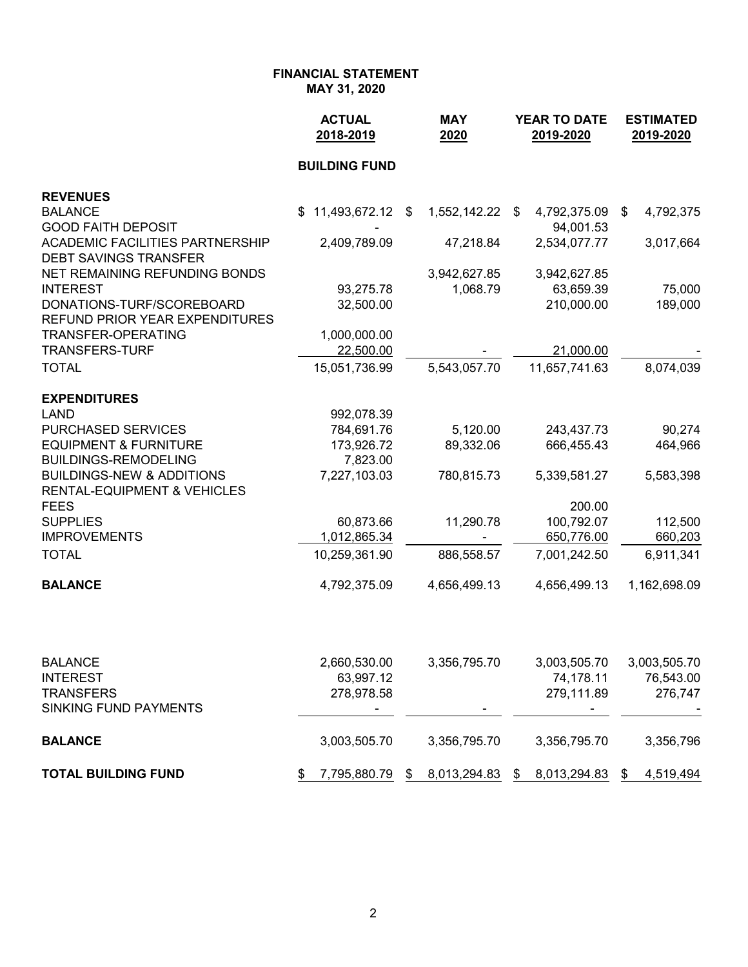**MAY 31, 2020**

|                                                                                | <b>ACTUAL</b><br>2018-2019 | <b>MAY</b><br>2020    | <b>YEAR TO DATE</b><br>2019-2020 | <b>ESTIMATED</b><br>2019-2020 |  |
|--------------------------------------------------------------------------------|----------------------------|-----------------------|----------------------------------|-------------------------------|--|
|                                                                                | <b>BUILDING FUND</b>       |                       |                                  |                               |  |
| <b>REVENUES</b>                                                                |                            |                       |                                  |                               |  |
| <b>BALANCE</b><br><b>GOOD FAITH DEPOSIT</b>                                    | $$11,493,672.12$ \$        | 1,552,142.22 \$       | 4,792,375.09<br>94,001.53        | 4,792,375<br>\$               |  |
| <b>ACADEMIC FACILITIES PARTNERSHIP</b><br><b>DEBT SAVINGS TRANSFER</b>         | 2,409,789.09               | 47,218.84             | 2,534,077.77                     | 3,017,664                     |  |
| NET REMAINING REFUNDING BONDS                                                  |                            | 3,942,627.85          | 3,942,627.85                     |                               |  |
| <b>INTEREST</b>                                                                | 93,275.78                  | 1,068.79              | 63,659.39                        | 75,000                        |  |
| DONATIONS-TURF/SCOREBOARD<br>REFUND PRIOR YEAR EXPENDITURES                    | 32,500.00                  |                       | 210,000.00                       | 189,000                       |  |
| TRANSFER-OPERATING                                                             | 1,000,000.00               |                       |                                  |                               |  |
| <b>TRANSFERS-TURF</b>                                                          | 22,500.00                  |                       | 21,000.00                        |                               |  |
| <b>TOTAL</b>                                                                   | 15,051,736.99              | 5,543,057.70          | 11,657,741.63                    | 8,074,039                     |  |
| <b>EXPENDITURES</b>                                                            |                            |                       |                                  |                               |  |
| <b>LAND</b><br>PURCHASED SERVICES                                              | 992,078.39                 |                       |                                  |                               |  |
| <b>EQUIPMENT &amp; FURNITURE</b>                                               | 784,691.76<br>173,926.72   | 5,120.00<br>89,332.06 | 243,437.73<br>666,455.43         | 90,274<br>464,966             |  |
| <b>BUILDINGS-REMODELING</b>                                                    | 7,823.00                   |                       |                                  |                               |  |
| <b>BUILDINGS-NEW &amp; ADDITIONS</b><br><b>RENTAL-EQUIPMENT &amp; VEHICLES</b> | 7,227,103.03               | 780,815.73            | 5,339,581.27                     | 5,583,398                     |  |
| <b>FEES</b>                                                                    |                            |                       | 200.00                           |                               |  |
| <b>SUPPLIES</b>                                                                | 60,873.66                  | 11,290.78             | 100,792.07                       | 112,500                       |  |
| <b>IMPROVEMENTS</b>                                                            | 1,012,865.34               |                       | 650,776.00                       | 660,203                       |  |
| <b>TOTAL</b>                                                                   | 10,259,361.90              | 886,558.57            | 7,001,242.50                     | 6,911,341                     |  |
| <b>BALANCE</b>                                                                 | 4,792,375.09               | 4,656,499.13          | 4,656,499.13                     | 1,162,698.09                  |  |
|                                                                                |                            |                       |                                  |                               |  |
| <b>BALANCE</b>                                                                 | 2,660,530.00               | 3,356,795.70          | 3,003,505.70                     | 3,003,505.70                  |  |
| <b>INTEREST</b><br><b>TRANSFERS</b>                                            | 63,997.12<br>278,978.58    |                       | 74,178.11<br>279,111.89          | 76,543.00<br>276,747          |  |
| <b>SINKING FUND PAYMENTS</b>                                                   |                            |                       |                                  |                               |  |
| <b>BALANCE</b>                                                                 | 3,003,505.70               | 3,356,795.70          | 3,356,795.70                     | 3,356,796                     |  |
| <b>TOTAL BUILDING FUND</b>                                                     | 7,795,880.79<br>\$         | 8,013,294.83<br>\$    | 8,013,294.83<br>\$               | 4,519,494<br>\$               |  |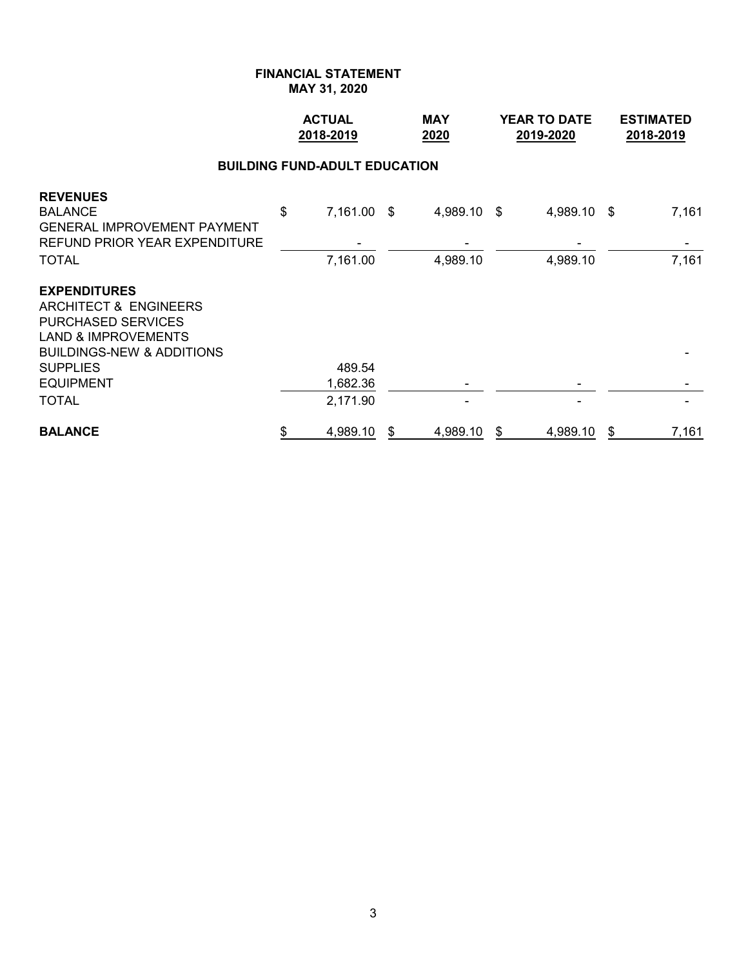**MAY 31, 2020**

|                                                                                                                                                                                                       | <b>ACTUAL</b><br>2018-2019 |                                      |    | <b>MAY</b><br>2020      | <b>YEAR TO DATE</b><br>2019-2020 | <b>ESTIMATED</b><br>2018-2019 |                |
|-------------------------------------------------------------------------------------------------------------------------------------------------------------------------------------------------------|----------------------------|--------------------------------------|----|-------------------------|----------------------------------|-------------------------------|----------------|
|                                                                                                                                                                                                       |                            | <b>BUILDING FUND-ADULT EDUCATION</b> |    |                         |                                  |                               |                |
| <b>REVENUES</b><br><b>BALANCE</b><br><b>GENERAL IMPROVEMENT PAYMENT</b><br>REFUND PRIOR YEAR EXPENDITURE<br><b>TOTAL</b>                                                                              | \$                         | 7,161.00 \$<br>7,161.00              |    | 4,989.10 \$<br>4,989.10 | 4,989.10 \$<br>4,989.10          |                               | 7,161<br>7,161 |
| <b>EXPENDITURES</b><br><b>ARCHITECT &amp; ENGINEERS</b><br><b>PURCHASED SERVICES</b><br><b>LAND &amp; IMPROVEMENTS</b><br><b>BUILDINGS-NEW &amp; ADDITIONS</b><br><b>SUPPLIES</b><br><b>EQUIPMENT</b> |                            | 489.54<br>1,682.36                   |    |                         |                                  |                               |                |
| <b>TOTAL</b>                                                                                                                                                                                          |                            | 2,171.90                             |    |                         |                                  |                               |                |
| <b>BALANCE</b>                                                                                                                                                                                        | \$                         | 4,989.10                             | \$ | 4,989.10                | \$<br>4,989.10                   | \$                            | 7,161          |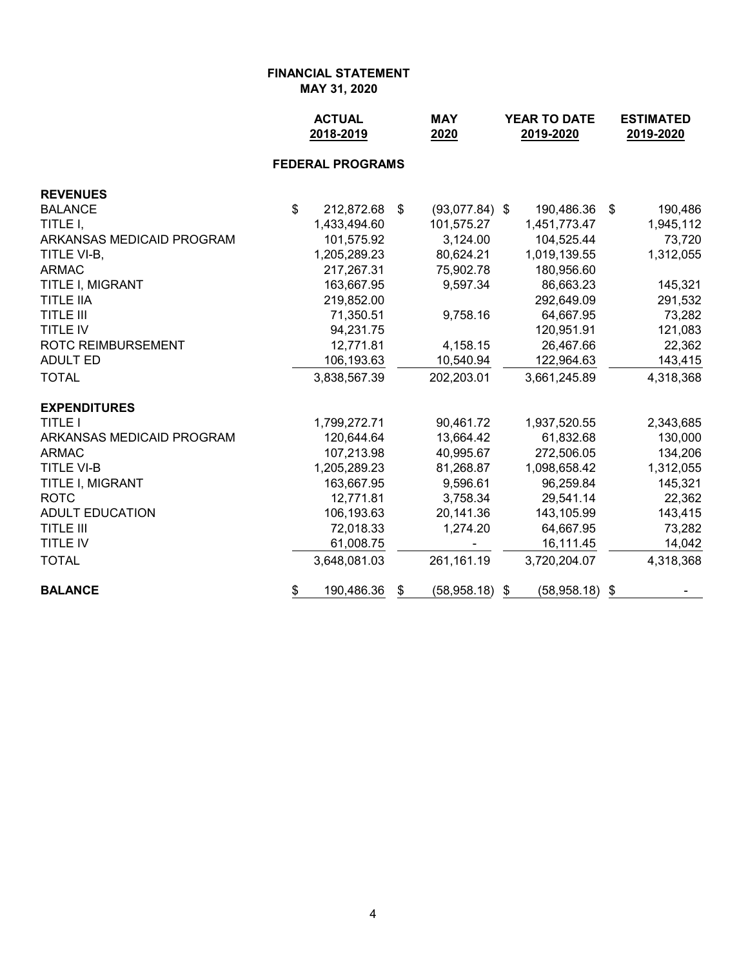**MAY 31, 2020**

|                           |                | <b>ACTUAL</b><br>2018-2019 | <b>MAY</b><br>2020     | <b>YEAR TO DATE</b><br>2019-2020 | <b>ESTIMATED</b><br>2019-2020 |
|---------------------------|----------------|----------------------------|------------------------|----------------------------------|-------------------------------|
|                           |                | <b>FEDERAL PROGRAMS</b>    |                        |                                  |                               |
| <b>REVENUES</b>           |                |                            |                        |                                  |                               |
| <b>BALANCE</b>            | $\mathfrak{S}$ | 212,872.68                 | \$<br>$(93,077.84)$ \$ | 190,486.36                       | 190,486<br>\$                 |
| TITLE I,                  |                | 1,433,494.60               | 101,575.27             | 1,451,773.47                     | 1,945,112                     |
| ARKANSAS MEDICAID PROGRAM |                | 101,575.92                 | 3,124.00               | 104,525.44                       | 73,720                        |
| TITLE VI-B,               |                | 1,205,289.23               | 80,624.21              | 1,019,139.55                     | 1,312,055                     |
| <b>ARMAC</b>              |                | 217,267.31                 | 75,902.78              | 180,956.60                       |                               |
| TITLE I, MIGRANT          |                | 163,667.95                 | 9,597.34               | 86,663.23                        | 145,321                       |
| <b>TITLE IIA</b>          |                | 219,852.00                 |                        | 292,649.09                       | 291,532                       |
| <b>TITLE III</b>          |                | 71,350.51                  | 9,758.16               | 64,667.95                        | 73,282                        |
| <b>TITLE IV</b>           |                | 94,231.75                  |                        | 120,951.91                       | 121,083                       |
| ROTC REIMBURSEMENT        |                | 12,771.81                  | 4,158.15               | 26,467.66                        | 22,362                        |
| <b>ADULT ED</b>           |                | 106,193.63                 | 10,540.94              | 122,964.63                       | 143,415                       |
| <b>TOTAL</b>              |                | 3,838,567.39               | 202,203.01             | 3,661,245.89                     | 4,318,368                     |
| <b>EXPENDITURES</b>       |                |                            |                        |                                  |                               |
| <b>TITLE I</b>            |                | 1,799,272.71               | 90,461.72              | 1,937,520.55                     | 2,343,685                     |
| ARKANSAS MEDICAID PROGRAM |                | 120,644.64                 | 13,664.42              | 61,832.68                        | 130,000                       |
| <b>ARMAC</b>              |                | 107,213.98                 | 40,995.67              | 272,506.05                       | 134,206                       |
| <b>TITLE VI-B</b>         |                | 1,205,289.23               | 81,268.87              | 1,098,658.42                     | 1,312,055                     |
| TITLE I, MIGRANT          |                | 163,667.95                 | 9,596.61               | 96,259.84                        | 145,321                       |
| <b>ROTC</b>               |                | 12,771.81                  | 3,758.34               | 29,541.14                        | 22,362                        |
| <b>ADULT EDUCATION</b>    |                | 106,193.63                 | 20,141.36              | 143,105.99                       | 143,415                       |
| <b>TITLE III</b>          |                | 72,018.33                  | 1,274.20               | 64,667.95                        | 73,282                        |
| <b>TITLE IV</b>           |                | 61,008.75                  |                        | 16,111.45                        | 14,042                        |
| <b>TOTAL</b>              |                | 3,648,081.03               | 261,161.19             | 3,720,204.07                     | 4,318,368                     |
| <b>BALANCE</b>            | \$             | 190,486.36                 | \$<br>(58,958.18)      | (58, 958.18)<br>\$               | \$                            |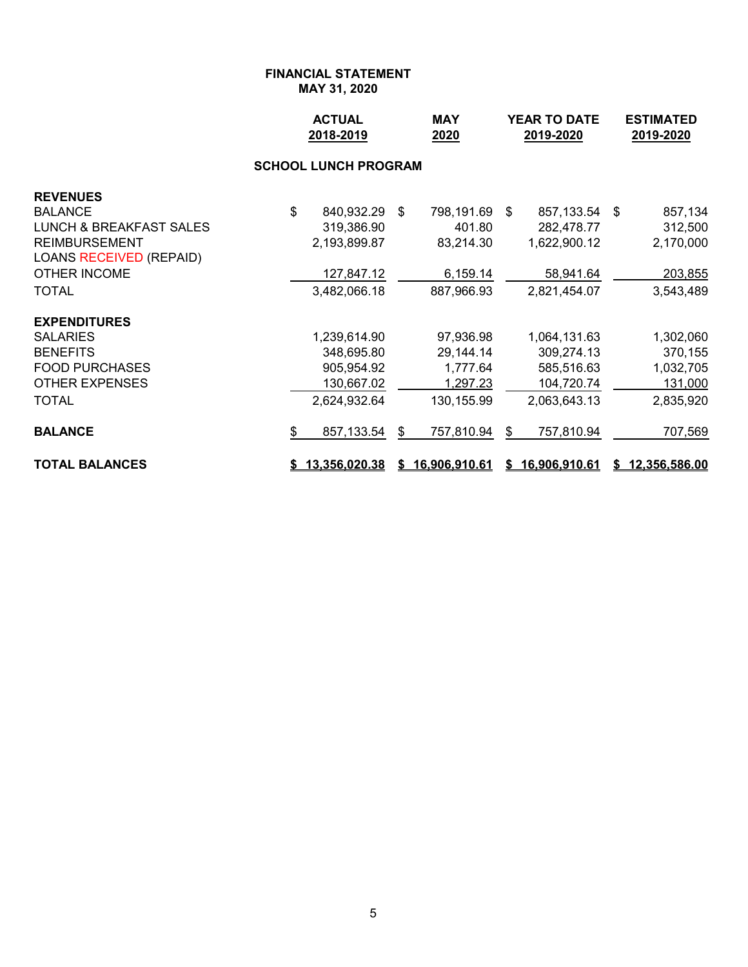### **FINANCIAL STATEMENT MAY 31, 2020**

|                                | <b>ACTUAL</b><br>2018-2019  | <b>MAY</b><br>2020 |                 | <b>YEAR TO DATE</b><br>2019-2020 |               |  | <b>ESTIMATED</b><br>2019-2020 |
|--------------------------------|-----------------------------|--------------------|-----------------|----------------------------------|---------------|--|-------------------------------|
|                                | <b>SCHOOL LUNCH PROGRAM</b> |                    |                 |                                  |               |  |                               |
| <b>REVENUES</b>                |                             |                    |                 |                                  |               |  |                               |
| <b>BALANCE</b>                 | \$<br>840,932.29 \$         |                    | 798,191.69      | - \$                             | 857,133.54 \$ |  | 857,134                       |
| LUNCH & BREAKFAST SALES        | 319,386.90                  |                    | 401.80          |                                  | 282,478.77    |  | 312,500                       |
| <b>REIMBURSEMENT</b>           | 2,193,899.87                |                    | 83,214.30       |                                  | 1,622,900.12  |  | 2,170,000                     |
| <b>LOANS RECEIVED (REPAID)</b> |                             |                    |                 |                                  |               |  |                               |
| <b>OTHER INCOME</b>            | 127,847.12                  |                    | 6,159.14        |                                  | 58,941.64     |  | 203,855                       |
| <b>TOTAL</b>                   | 3,482,066.18                |                    | 887,966.93      |                                  | 2,821,454.07  |  | 3,543,489                     |
| <b>EXPENDITURES</b>            |                             |                    |                 |                                  |               |  |                               |
| <b>SALARIES</b>                | 1,239,614.90                |                    | 97,936.98       |                                  | 1,064,131.63  |  | 1,302,060                     |
| <b>BENEFITS</b>                | 348,695.80                  |                    | 29,144.14       |                                  | 309,274.13    |  | 370,155                       |
| <b>FOOD PURCHASES</b>          | 905,954.92                  |                    | 1,777.64        |                                  | 585,516.63    |  | 1,032,705                     |
| <b>OTHER EXPENSES</b>          | 130,667.02                  |                    | 1,297.23        |                                  | 104,720.74    |  | 131,000                       |
| TOTAL                          | 2,624,932.64                |                    | 130, 155.99     |                                  | 2,063,643.13  |  | 2,835,920                     |
| <b>BALANCE</b>                 | \$<br>857,133.54            | \$                 | 757,810.94      | \$                               | 757,810.94    |  | 707,569                       |
| <b>TOTAL BALANCES</b>          | \$13,356,020.38             |                    | \$16,906,910.61 | \$                               | 16,906,910.61 |  | \$12,356,586.00               |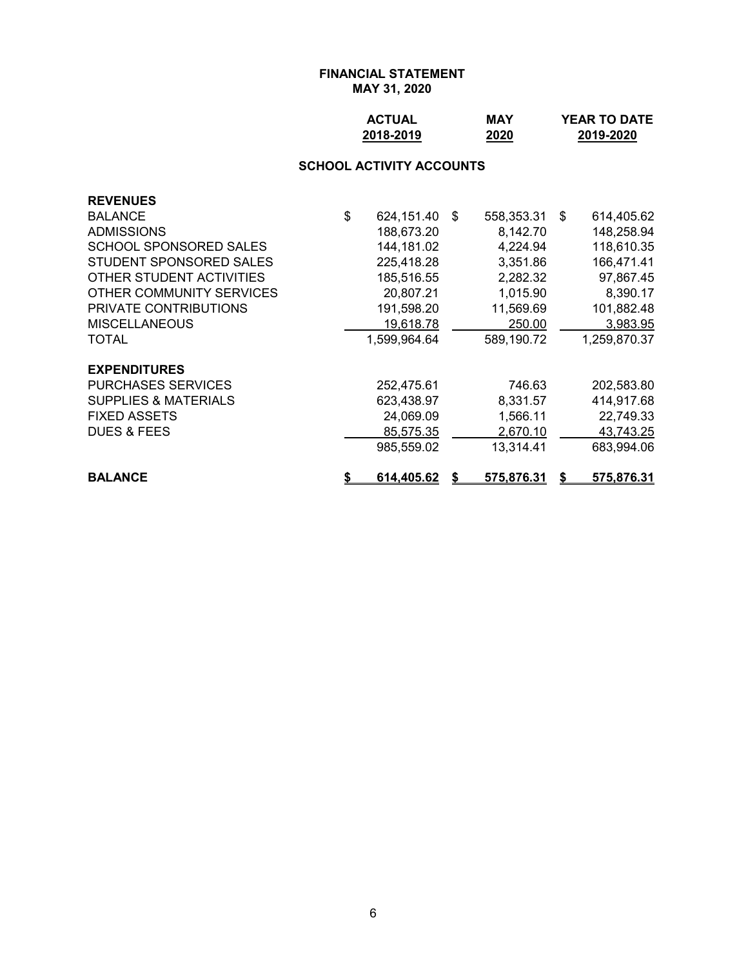## **FINANCIAL STATEMENT MAY 31, 2020**

| <b>ACTUAL</b> | MAY  | <b>YEAR TO DATE</b> |
|---------------|------|---------------------|
| 2018-2019     | 2020 | 2019-2020           |

## **SCHOOL ACTIVITY ACCOUNTS**

| <b>REVENUES</b>                 |    |                   |    |                   |    |                   |
|---------------------------------|----|-------------------|----|-------------------|----|-------------------|
| <b>BALANCE</b>                  | \$ | 624,151.40        | \$ | 558,353.31        | \$ | 614,405.62        |
| <b>ADMISSIONS</b>               |    | 188,673.20        |    | 8,142.70          |    | 148,258.94        |
| SCHOOL SPONSORED SALES          |    | 144, 181.02       |    | 4,224.94          |    | 118,610.35        |
| STUDENT SPONSORED SALES         |    | 225,418.28        |    | 3,351.86          |    | 166,471.41        |
| OTHER STUDENT ACTIVITIES        |    | 185,516.55        |    | 2,282.32          |    | 97,867.45         |
| OTHER COMMUNITY SERVICES        |    | 20,807.21         |    | 1,015.90          |    | 8,390.17          |
| <b>PRIVATE CONTRIBUTIONS</b>    |    | 191,598.20        |    | 11,569.69         |    | 101,882.48        |
| <b>MISCELLANEOUS</b>            |    | 19,618.78         |    | 250.00            |    | 3,983.95          |
| <b>TOTAL</b>                    |    | 1,599,964.64      |    | 589,190.72        |    | 1,259,870.37      |
| <b>EXPENDITURES</b>             |    |                   |    |                   |    |                   |
| <b>PURCHASES SERVICES</b>       |    | 252,475.61        |    | 746.63            |    | 202,583.80        |
| <b>SUPPLIES &amp; MATERIALS</b> |    | 623,438.97        |    | 8,331.57          |    | 414,917.68        |
| <b>FIXED ASSETS</b>             |    | 24,069.09         |    | 1,566.11          |    | 22,749.33         |
| <b>DUES &amp; FEES</b>          |    | 85,575.35         |    | 2,670.10          |    | 43,743.25         |
|                                 |    | 985,559.02        |    | 13.314.41         |    | 683,994.06        |
| <b>BALANCE</b>                  | S. | <u>614,405.62</u> | S  | <u>575,876.31</u> | S  | <u>575,876.31</u> |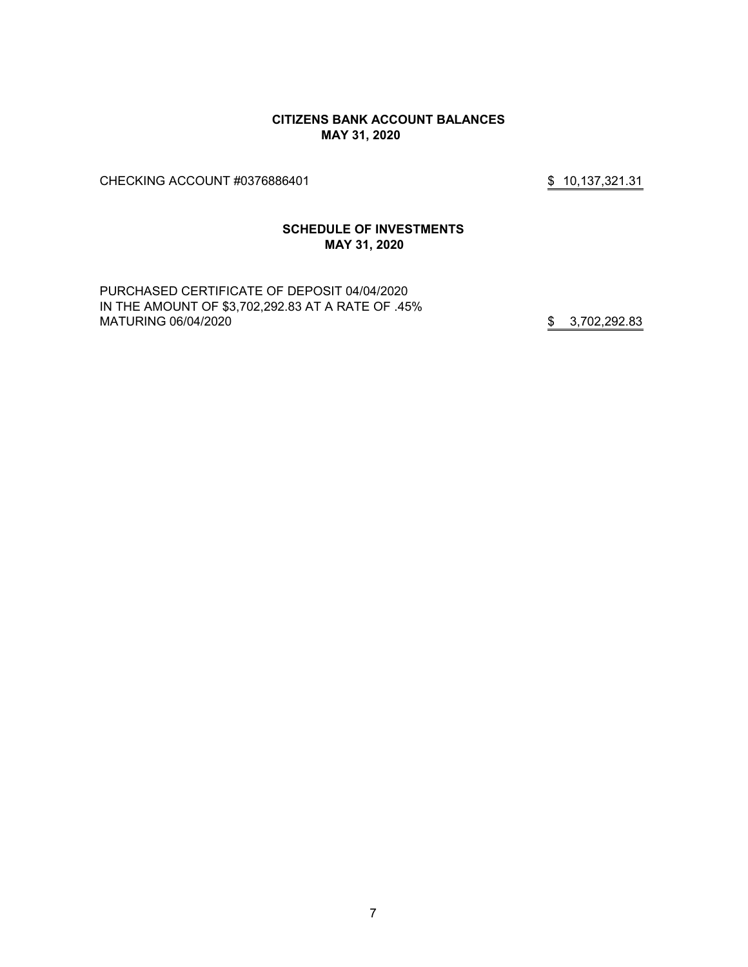#### **CITIZENS BANK ACCOUNT BALANCES MAY 31, 2020**

CHECKING ACCOUNT #0376886401 \$ 10,137,321.31

### **SCHEDULE OF INVESTMENTS MAY 31, 2020**

PURCHASED CERTIFICATE OF DEPOSIT 04/04/2020 IN THE AMOUNT OF \$3,702,292.83 AT A RATE OF .45% MATURING 06/04/2020 **\$** 3,702,292.83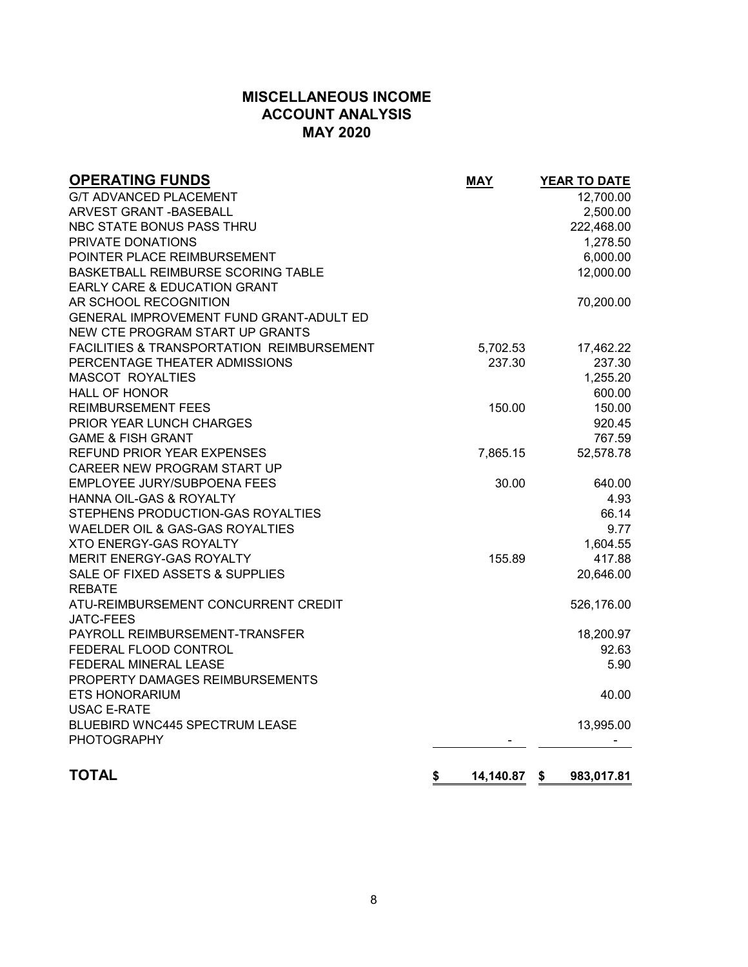## **MISCELLANEOUS INCOME ACCOUNT ANALYSIS MAY 2020**

| <b>OPERATING FUNDS</b>                               | <b>MAY</b> | YEAR TO DATE     |
|------------------------------------------------------|------------|------------------|
| <b>G/T ADVANCED PLACEMENT</b>                        |            | 12,700.00        |
| ARVEST GRANT - BASEBALL                              |            | 2,500.00         |
| NBC STATE BONUS PASS THRU                            |            | 222,468.00       |
| PRIVATE DONATIONS                                    |            | 1,278.50         |
| POINTER PLACE REIMBURSEMENT                          |            | 6,000.00         |
| <b>BASKETBALL REIMBURSE SCORING TABLE</b>            |            | 12,000.00        |
| EARLY CARE & EDUCATION GRANT                         |            |                  |
| AR SCHOOL RECOGNITION                                |            | 70,200.00        |
| GENERAL IMPROVEMENT FUND GRANT-ADULT ED              |            |                  |
| NEW CTE PROGRAM START UP GRANTS                      |            |                  |
| <b>FACILITIES &amp; TRANSPORTATION REIMBURSEMENT</b> | 5,702.53   | 17,462.22        |
| PERCENTAGE THEATER ADMISSIONS                        | 237.30     | 237.30           |
| <b>MASCOT ROYALTIES</b>                              |            | 1,255.20         |
| <b>HALL OF HONOR</b>                                 |            | 600.00           |
| <b>REIMBURSEMENT FEES</b>                            | 150.00     | 150.00           |
| PRIOR YEAR LUNCH CHARGES                             |            | 920.45           |
| <b>GAME &amp; FISH GRANT</b>                         |            | 767.59           |
| <b>REFUND PRIOR YEAR EXPENSES</b>                    | 7,865.15   | 52,578.78        |
| CAREER NEW PROGRAM START UP                          |            |                  |
| EMPLOYEE JURY/SUBPOENA FEES                          | 30.00      | 640.00           |
| HANNA OIL-GAS & ROYALTY                              |            | 4.93             |
| STEPHENS PRODUCTION-GAS ROYALTIES                    |            | 66.14            |
| WAELDER OIL & GAS-GAS ROYALTIES                      |            | 9.77             |
| <b>XTO ENERGY-GAS ROYALTY</b>                        |            | 1,604.55         |
| MERIT ENERGY-GAS ROYALTY                             | 155.89     | 417.88           |
| SALE OF FIXED ASSETS & SUPPLIES                      |            | 20,646.00        |
| <b>REBATE</b>                                        |            |                  |
| ATU-REIMBURSEMENT CONCURRENT CREDIT                  |            | 526,176.00       |
| <b>JATC-FEES</b>                                     |            |                  |
| PAYROLL REIMBURSEMENT-TRANSFER                       |            | 18,200.97        |
| FEDERAL FLOOD CONTROL                                |            | 92.63            |
| FEDERAL MINERAL LEASE                                |            | 5.90             |
| PROPERTY DAMAGES REIMBURSEMENTS                      |            |                  |
| <b>ETS HONORARIUM</b>                                |            | 40.00            |
| USAC E-RATE                                          |            |                  |
| BLUEBIRD WNC445 SPECTRUM LEASE                       |            | 13,995.00        |
| <b>PHOTOGRAPHY</b>                                   |            |                  |
| <b>TOTAL</b>                                         | 14,140.87  |                  |
|                                                      | \$         | \$<br>983,017.81 |